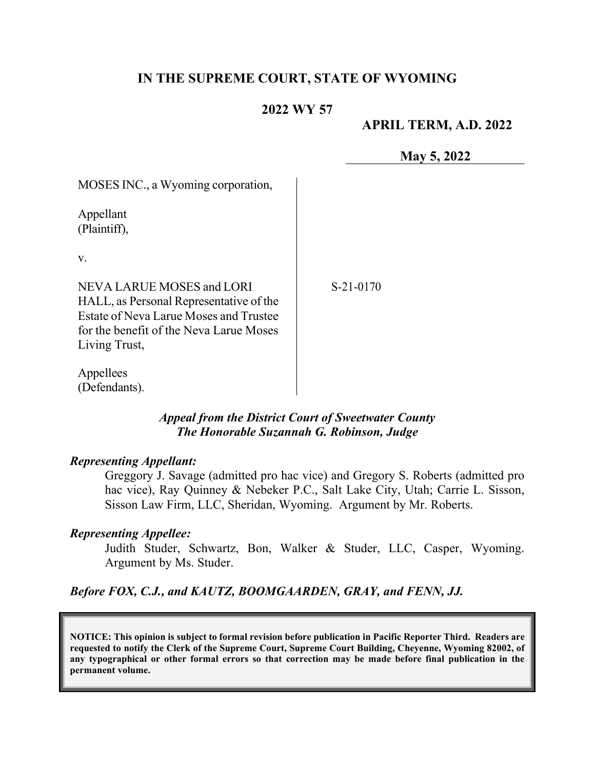## **IN THE SUPREME COURT, STATE OF WYOMING**

#### **2022 WY 57**

#### **APRIL TERM, A.D. 2022**

**May 5, 2022**

| MOSES INC., a Wyoming corporation,                                                                                                                                         |             |
|----------------------------------------------------------------------------------------------------------------------------------------------------------------------------|-------------|
| Appellant<br>(Plaintiff),                                                                                                                                                  |             |
| V.                                                                                                                                                                         |             |
| NEVA LARUE MOSES and LORI<br>HALL, as Personal Representative of the<br>Estate of Neva Larue Moses and Trustee<br>for the benefit of the Neva Larue Moses<br>Living Trust, | $S-21-0170$ |
| Appellees                                                                                                                                                                  |             |

#### *Appeal from the District Court of Sweetwater County The Honorable Suzannah G. Robinson, Judge*

#### *Representing Appellant:*

(Defendants).

Greggory J. Savage (admitted pro hac vice) and Gregory S. Roberts (admitted pro hac vice), Ray Quinney & Nebeker P.C., Salt Lake City, Utah; Carrie L. Sisson, Sisson Law Firm, LLC, Sheridan, Wyoming. Argument by Mr. Roberts.

#### *Representing Appellee:*

Judith Studer, Schwartz, Bon, Walker & Studer, LLC, Casper, Wyoming. Argument by Ms. Studer.

*Before FOX, C.J., and KAUTZ, BOOMGAARDEN, GRAY, and FENN, JJ.* 

**NOTICE: This opinion is subject to formal revision before publication in Pacific Reporter Third. Readers are requested to notify the Clerk of the Supreme Court, Supreme Court Building, Cheyenne, Wyoming 82002, of any typographical or other formal errors so that correction may be made before final publication in the permanent volume.**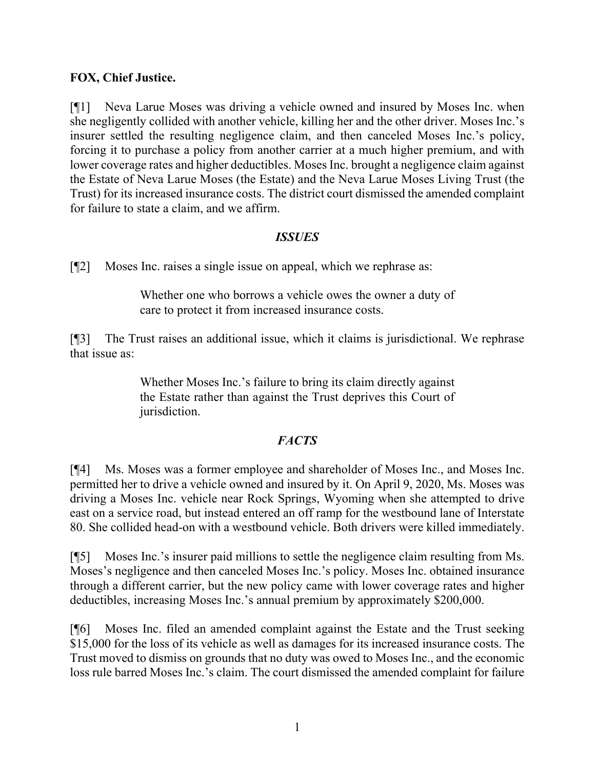### **FOX, Chief Justice.**

[¶1] Neva Larue Moses was driving a vehicle owned and insured by Moses Inc. when she negligently collided with another vehicle, killing her and the other driver. Moses Inc.'s insurer settled the resulting negligence claim, and then canceled Moses Inc.'s policy, forcing it to purchase a policy from another carrier at a much higher premium, and with lower coverage rates and higher deductibles. Moses Inc. brought a negligence claim against the Estate of Neva Larue Moses (the Estate) and the Neva Larue Moses Living Trust (the Trust) for its increased insurance costs. The district court dismissed the amended complaint for failure to state a claim, and we affirm.

#### *ISSUES*

[¶2] Moses Inc. raises a single issue on appeal, which we rephrase as:

Whether one who borrows a vehicle owes the owner a duty of care to protect it from increased insurance costs.

[¶3] The Trust raises an additional issue, which it claims is jurisdictional. We rephrase that issue as:

> Whether Moses Inc.'s failure to bring its claim directly against the Estate rather than against the Trust deprives this Court of jurisdiction.

## *FACTS*

[¶4] Ms. Moses was a former employee and shareholder of Moses Inc., and Moses Inc. permitted her to drive a vehicle owned and insured by it. On April 9, 2020, Ms. Moses was driving a Moses Inc. vehicle near Rock Springs, Wyoming when she attempted to drive east on a service road, but instead entered an off ramp for the westbound lane of Interstate 80. She collided head-on with a westbound vehicle. Both drivers were killed immediately.

[¶5] Moses Inc.'s insurer paid millions to settle the negligence claim resulting from Ms. Moses's negligence and then canceled Moses Inc.'s policy. Moses Inc. obtained insurance through a different carrier, but the new policy came with lower coverage rates and higher deductibles, increasing Moses Inc.'s annual premium by approximately \$200,000.

[¶6] Moses Inc. filed an amended complaint against the Estate and the Trust seeking \$15,000 for the loss of its vehicle as well as damages for its increased insurance costs. The Trust moved to dismiss on grounds that no duty was owed to Moses Inc., and the economic loss rule barred Moses Inc.'s claim. The court dismissed the amended complaint for failure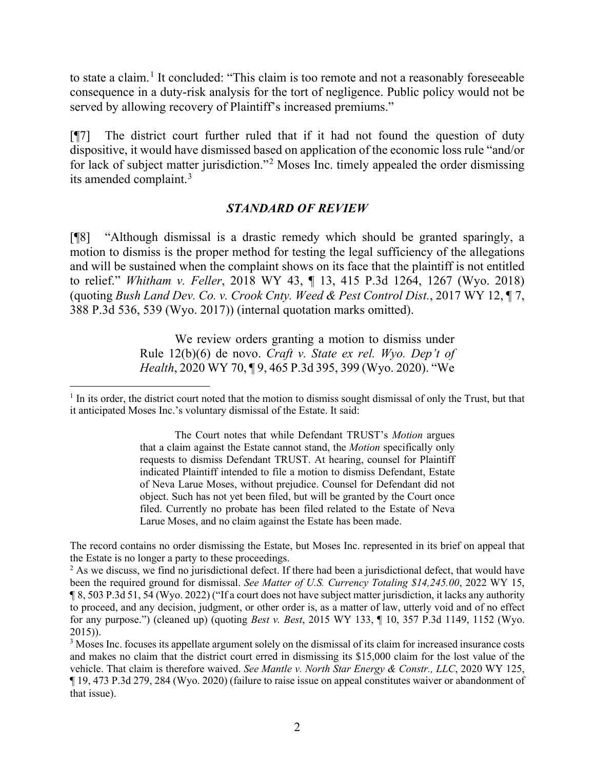to state a claim.<sup>[1](#page-2-0)</sup> It concluded: "This claim is too remote and not a reasonably foreseeable consequence in a duty-risk analysis for the tort of negligence. Public policy would not be served by allowing recovery of Plaintiff's increased premiums."

[¶7] The district court further ruled that if it had not found the question of duty dispositive, it would have dismissed based on application of the economic loss rule "and/or for lack of subject matter jurisdiction."[2](#page-2-1) Moses Inc. timely appealed the order dismissing its amended complaint.[3](#page-2-2)

### *STANDARD OF REVIEW*

[¶8] "Although dismissal is a drastic remedy which should be granted sparingly, a motion to dismiss is the proper method for testing the legal sufficiency of the allegations and will be sustained when the complaint shows on its face that the plaintiff is not entitled to relief." *Whitham v. Feller*, 2018 WY 43, ¶ 13, 415 P.3d 1264, 1267 (Wyo. 2018) (quoting *Bush Land Dev. Co. v. Crook Cnty. Weed & Pest Control Dist.*, 2017 WY 12, ¶ 7, 388 P.3d 536, 539 (Wyo. 2017)) (internal quotation marks omitted).

> We review orders granting a motion to dismiss under [Rule 12\(b\)\(6\)](http://www.westlaw.com/Link/Document/FullText?findType=L&pubNum=1008760&cite=WYRRCPR12&originatingDoc=Ic6987bc0f47e11ea8a16b8dfad4105f5&refType=LQ&originationContext=document&vr=3.0&rs=cblt1.0&transitionType=DocumentItem&contextData=(sc.UserEnteredCitation)) de novo. *[Craft v. State ex rel. Wyo. Dep't of](http://www.westlaw.com/Link/Document/FullText?findType=Y&serNum=2051225941&pubNum=0004645&originatingDoc=Ic6987bc0f47e11ea8a16b8dfad4105f5&refType=RP&fi=co_pp_sp_4645_399&originationContext=document&vr=3.0&rs=cblt1.0&transitionType=DocumentItem&contextData=(sc.UserEnteredCitation)#co_pp_sp_4645_399)  Health*[, 2020 WY 70, ¶ 9, 465 P.3d 395, 399 \(Wyo. 2020\).](http://www.westlaw.com/Link/Document/FullText?findType=Y&serNum=2051225941&pubNum=0004645&originatingDoc=Ic6987bc0f47e11ea8a16b8dfad4105f5&refType=RP&fi=co_pp_sp_4645_399&originationContext=document&vr=3.0&rs=cblt1.0&transitionType=DocumentItem&contextData=(sc.UserEnteredCitation)#co_pp_sp_4645_399) "We

The record contains no order dismissing the Estate, but Moses Inc. represented in its brief on appeal that the Estate is no longer a party to these proceedings.

<span id="page-2-1"></span><sup>2</sup> As we discuss, we find no jurisdictional defect. If there had been a jurisdictional defect, that would have been the required ground for dismissal. *See Matter of U.S. Currency Totaling \$14,245.00*, 2022 WY 15, ¶ 8, 503 P.3d 51, 54 (Wyo. 2022) ("If a court does not have subject matter jurisdiction, it lacks any authority to proceed, and any decision, judgment, or other order is, as a matter of law, utterly void and of no effect for any purpose.") (cleaned up) (quoting *Best v. Best*[, 2015 WY 133, ¶ 10, 357 P.3d 1149, 1152 \(Wyo.](http://www.westlaw.com/Link/Document/FullText?findType=Y&serNum=2037277930&pubNum=0004645&originatingDoc=Iddb4b08082e911ec96ceb00cb8dbec0e&refType=RP&fi=co_pp_sp_4645_1152&originationContext=document&vr=3.0&rs=cblt1.0&transitionType=DocumentItem&contextData=(sc.Search)#co_pp_sp_4645_1152)  [2015\)\)](http://www.westlaw.com/Link/Document/FullText?findType=Y&serNum=2037277930&pubNum=0004645&originatingDoc=Iddb4b08082e911ec96ceb00cb8dbec0e&refType=RP&fi=co_pp_sp_4645_1152&originationContext=document&vr=3.0&rs=cblt1.0&transitionType=DocumentItem&contextData=(sc.Search)#co_pp_sp_4645_1152).

<span id="page-2-2"></span><sup>3</sup> Moses Inc. focuses its appellate argument solely on the dismissal of its claim for increased insurance costs and makes no claim that the district court erred in dismissing its \$15,000 claim for the lost value of the vehicle. That claim is therefore waived. *See Mantle v. North Star Energy & Constr., LLC*, 2020 WY 125, ¶ 19, 473 P.3d 279, 284 (Wyo. 2020) (failure to raise issue on appeal constitutes waiver or abandonment of that issue).

<span id="page-2-0"></span> $1$  In its order, the district court noted that the motion to dismiss sought dismissal of only the Trust, but that it anticipated Moses Inc.'s voluntary dismissal of the Estate. It said:

The Court notes that while Defendant TRUST's *Motion* argues that a claim against the Estate cannot stand, the *Motion* specifically only requests to dismiss Defendant TRUST. At hearing, counsel for Plaintiff indicated Plaintiff intended to file a motion to dismiss Defendant, Estate of Neva Larue Moses, without prejudice. Counsel for Defendant did not object. Such has not yet been filed, but will be granted by the Court once filed. Currently no probate has been filed related to the Estate of Neva Larue Moses, and no claim against the Estate has been made.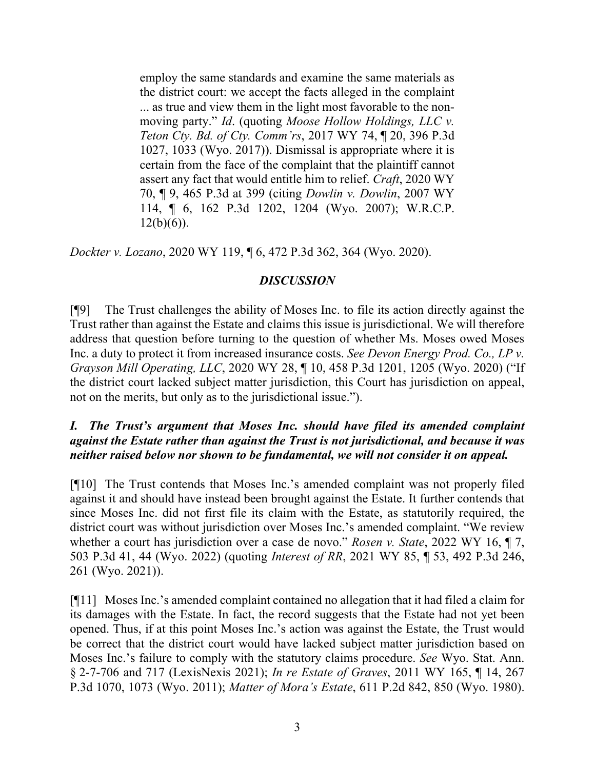employ the same standards and examine the same materials as the district court: we accept the facts alleged in the complaint ... as true and view them in the light most favorable to the nonmoving party." *[Id](http://www.westlaw.com/Link/Document/FullText?findType=Y&serNum=2051225941&pubNum=0006431&originatingDoc=Ic6987bc0f47e11ea8a16b8dfad4105f5&refType=RP&originationContext=document&vr=3.0&rs=cblt1.0&transitionType=DocumentItem&contextData=(sc.UserEnteredCitation))*. (quoting *[Moose Hollow Holdings, LLC v.](http://www.westlaw.com/Link/Document/FullText?findType=Y&serNum=2041912671&pubNum=0004645&originatingDoc=Ic6987bc0f47e11ea8a16b8dfad4105f5&refType=RP&fi=co_pp_sp_4645_1033&originationContext=document&vr=3.0&rs=cblt1.0&transitionType=DocumentItem&contextData=(sc.UserEnteredCitation)#co_pp_sp_4645_1033)  [Teton Cty. Bd. of Cty. Comm'rs](http://www.westlaw.com/Link/Document/FullText?findType=Y&serNum=2041912671&pubNum=0004645&originatingDoc=Ic6987bc0f47e11ea8a16b8dfad4105f5&refType=RP&fi=co_pp_sp_4645_1033&originationContext=document&vr=3.0&rs=cblt1.0&transitionType=DocumentItem&contextData=(sc.UserEnteredCitation)#co_pp_sp_4645_1033)*, 2017 WY 74, ¶ 20, 396 P.3d [1027, 1033 \(Wyo. 2017\)\)](http://www.westlaw.com/Link/Document/FullText?findType=Y&serNum=2041912671&pubNum=0004645&originatingDoc=Ic6987bc0f47e11ea8a16b8dfad4105f5&refType=RP&fi=co_pp_sp_4645_1033&originationContext=document&vr=3.0&rs=cblt1.0&transitionType=DocumentItem&contextData=(sc.UserEnteredCitation)#co_pp_sp_4645_1033). Dismissal is appropriate where it is certain from the face of the complaint that the plaintiff cannot assert any fact that would entitle him to relief. *Craft*[, 2020 WY](http://www.westlaw.com/Link/Document/FullText?findType=Y&serNum=2051225941&pubNum=0004645&originatingDoc=Ic6987bc0f47e11ea8a16b8dfad4105f5&refType=RP&fi=co_pp_sp_4645_399&originationContext=document&vr=3.0&rs=cblt1.0&transitionType=DocumentItem&contextData=(sc.UserEnteredCitation)#co_pp_sp_4645_399)  [70, ¶ 9, 465 P.3d at 399](http://www.westlaw.com/Link/Document/FullText?findType=Y&serNum=2051225941&pubNum=0004645&originatingDoc=Ic6987bc0f47e11ea8a16b8dfad4105f5&refType=RP&fi=co_pp_sp_4645_399&originationContext=document&vr=3.0&rs=cblt1.0&transitionType=DocumentItem&contextData=(sc.UserEnteredCitation)#co_pp_sp_4645_399) (citing *[Dowlin v. Dowlin](http://www.westlaw.com/Link/Document/FullText?findType=Y&serNum=2012755235&pubNum=0004645&originatingDoc=Ic6987bc0f47e11ea8a16b8dfad4105f5&refType=RP&fi=co_pp_sp_4645_1204&originationContext=document&vr=3.0&rs=cblt1.0&transitionType=DocumentItem&contextData=(sc.UserEnteredCitation)#co_pp_sp_4645_1204)*, 2007 WY [114, ¶ 6, 162 P.3d 1202, 1204 \(Wyo. 2007\);](http://www.westlaw.com/Link/Document/FullText?findType=Y&serNum=2012755235&pubNum=0004645&originatingDoc=Ic6987bc0f47e11ea8a16b8dfad4105f5&refType=RP&fi=co_pp_sp_4645_1204&originationContext=document&vr=3.0&rs=cblt1.0&transitionType=DocumentItem&contextData=(sc.UserEnteredCitation)#co_pp_sp_4645_1204) [W.R.C.P.](http://www.westlaw.com/Link/Document/FullText?findType=L&pubNum=1008760&cite=WYRRCPR12&originatingDoc=Ic6987bc0f47e11ea8a16b8dfad4105f5&refType=LQ&originationContext=document&vr=3.0&rs=cblt1.0&transitionType=DocumentItem&contextData=(sc.UserEnteredCitation))   $12(b)(6)$ ).

*Dockter v. Lozano*, 2020 WY 119, ¶ 6, 472 P.3d 362, 364 (Wyo. 2020).

### *DISCUSSION*

[¶9] The Trust challenges the ability of Moses Inc. to file its action directly against the Trust rather than against the Estate and claims this issue is jurisdictional. We will therefore address that question before turning to the question of whether Ms. Moses owed Moses Inc. a duty to protect it from increased insurance costs. *See Devon Energy Prod. Co., LP v. Grayson Mill Operating, LLC*, 2020 WY 28, ¶ 10, 458 P.3d 1201, 1205 (Wyo. 2020) ("If the district court lacked subject matter jurisdiction, this Court has jurisdiction on appeal, not on the merits, but only as to the jurisdictional issue.").

## *I. The Trust's argument that Moses Inc. should have filed its amended complaint against the Estate rather than against the Trust is not jurisdictional, and because it was neither raised below nor shown to be fundamental, we will not consider it on appeal.*

[¶10] The Trust contends that Moses Inc.'s amended complaint was not properly filed against it and should have instead been brought against the Estate. It further contends that since Moses Inc. did not first file its claim with the Estate, as statutorily required, the district court was without jurisdiction over Moses Inc.'s amended complaint. "We review whether a court has jurisdiction over a case de novo." *Rosen v. State*, 2022 WY 16, ¶ 7, 503 P.3d 41, 44 (Wyo. 2022) (quoting *Interest of RR*[, 2021 WY 85, ¶ 53, 492 P.3d 246,](http://www.westlaw.com/Link/Document/FullText?findType=Y&serNum=2054167020&pubNum=0004645&originatingDoc=Ica7970f082e911ecb061fecc2fb6bc54&refType=RP&fi=co_pp_sp_4645_261&originationContext=document&vr=3.0&rs=cblt1.0&transitionType=DocumentItem&contextData=(sc.Search)#co_pp_sp_4645_261)  [261 \(Wyo. 2021\)\)](http://www.westlaw.com/Link/Document/FullText?findType=Y&serNum=2054167020&pubNum=0004645&originatingDoc=Ica7970f082e911ecb061fecc2fb6bc54&refType=RP&fi=co_pp_sp_4645_261&originationContext=document&vr=3.0&rs=cblt1.0&transitionType=DocumentItem&contextData=(sc.Search)#co_pp_sp_4645_261).

[¶11] Moses Inc.'s amended complaint contained no allegation that it had filed a claim for its damages with the Estate. In fact, the record suggests that the Estate had not yet been opened. Thus, if at this point Moses Inc.'s action was against the Estate, the Trust would be correct that the district court would have lacked subject matter jurisdiction based on Moses Inc.'s failure to comply with the statutory claims procedure. *See* Wyo. Stat. Ann. § 2-7-706 and 717 (LexisNexis 2021); *In re Estate of Graves*, 2011 WY 165, ¶ 14, 267 P.3d 1070, 1073 (Wyo. 2011); *Matter of Mora's Estate*, 611 P.2d 842, 850 (Wyo. 1980).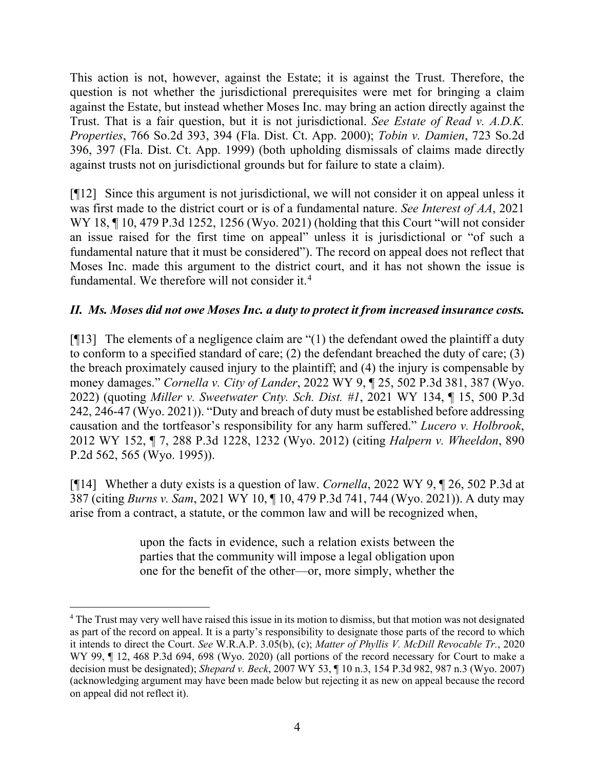This action is not, however, against the Estate; it is against the Trust. Therefore, the question is not whether the jurisdictional prerequisites were met for bringing a claim against the Estate, but instead whether Moses Inc. may bring an action directly against the Trust. That is a fair question, but it is not jurisdictional. *See Estate of Read v. A.D.K. Properties*, 766 So.2d 393, 394 (Fla. Dist. Ct. App. 2000); *Tobin v. Damien*, 723 So.2d 396, 397 (Fla. Dist. Ct. App. 1999) (both upholding dismissals of claims made directly against trusts not on jurisdictional grounds but for failure to state a claim).

[¶12] Since this argument is not jurisdictional, we will not consider it on appeal unless it was first made to the district court or is of a fundamental nature. *See Interest of AA*, 2021 WY 18, ¶ 10, 479 P.3d 1252, 1256 (Wyo. 2021) (holding that this Court "will not consider an issue raised for the first time on appeal" unless it is jurisdictional or "of such a fundamental nature that it must be considered"). The record on appeal does not reflect that Moses Inc. made this argument to the district court, and it has not shown the issue is fundamental. We therefore will not consider it.[4](#page-4-0)

# *II. Ms. Moses did not owe Moses Inc. a duty to protect it from increased insurance costs.*

[ $[13]$ ] The elements of a negligence claim are "(1) the defendant owed the plaintiff a duty to conform to a specified standard of care; (2) the defendant breached the duty of care; (3) the breach proximately caused injury to the plaintiff; and (4) the injury is compensable by money damages." *Cornella v. City of Lander*, 2022 WY 9, ¶ 25, 502 P.3d 381, 387 (Wyo. 2022) (quoting *[Miller v. Sweetwater Cnty. Sch. Dist. #1](http://www.westlaw.com/Link/Document/FullText?findType=Y&serNum=2055113009&pubNum=0004645&originatingDoc=I3ce233b078af11ecbb228c74625c8c89&refType=RP&fi=co_pp_sp_4645_246&originationContext=document&vr=3.0&rs=cblt1.0&transitionType=DocumentItem&contextData=(sc.Search)#co_pp_sp_4645_246)*, 2021 WY 134, ¶ 15, 500 P.3d [242, 246-47 \(Wyo. 2021\)\)](http://www.westlaw.com/Link/Document/FullText?findType=Y&serNum=2055113009&pubNum=0004645&originatingDoc=I3ce233b078af11ecbb228c74625c8c89&refType=RP&fi=co_pp_sp_4645_246&originationContext=document&vr=3.0&rs=cblt1.0&transitionType=DocumentItem&contextData=(sc.Search)#co_pp_sp_4645_246). "Duty and breach of duty must be established before addressing causation and the tortfeasor's responsibility for any harm suffered." *Lucero v. Holbrook*, 2012 WY 152, ¶ 7, 288 P.3d 1228, 1232 (Wyo. 2012) (citing *[Halpern v. Wheeldon](http://www.westlaw.com/Link/Document/FullText?findType=Y&serNum=1995054476&pubNum=0000661&originatingDoc=Id9af682f3b2b11e28a21ccb9036b2470&refType=RP&fi=co_pp_sp_661_565&originationContext=document&vr=3.0&rs=cblt1.0&transitionType=DocumentItem&contextData=(sc.UserEnteredCitation)#co_pp_sp_661_565)*, 890 [P.2d 562, 565 \(Wyo. 1995\)\)](http://www.westlaw.com/Link/Document/FullText?findType=Y&serNum=1995054476&pubNum=0000661&originatingDoc=Id9af682f3b2b11e28a21ccb9036b2470&refType=RP&fi=co_pp_sp_661_565&originationContext=document&vr=3.0&rs=cblt1.0&transitionType=DocumentItem&contextData=(sc.UserEnteredCitation)#co_pp_sp_661_565).

[¶14] Whether a duty exists is a question of law. *Cornella*, 2022 WY 9, ¶ 26, 502 P.3d at 387 (citing *Burns v. Sam*[, 2021 WY 10, ¶ 10, 479 P.3d 741, 744 \(Wyo. 2021\)\)](http://www.westlaw.com/Link/Document/FullText?findType=Y&serNum=2052811421&pubNum=0004645&originatingDoc=I3ce233b078af11ecbb228c74625c8c89&refType=RP&fi=co_pp_sp_4645_744&originationContext=document&vr=3.0&rs=cblt1.0&transitionType=DocumentItem&contextData=(sc.Search)#co_pp_sp_4645_744). A duty may arise from a contract, a statute, or the common law and will be recognized when,

> upon the facts in evidence, such a relation exists between the parties that the community will impose a legal obligation upon one for the benefit of the other—or, more simply, whether the

<span id="page-4-0"></span><sup>&</sup>lt;sup>4</sup> The Trust may very well have raised this issue in its motion to dismiss, but that motion was not designated as part of the record on appeal. It is a party's responsibility to designate those parts of the record to which it intends to direct the Court. *See* W.R.A.P. 3.05(b), (c); *Matter of Phyllis V. McDill Revocable Tr.*, 2020 WY 99,  $\P$  12, 468 P.3d 694, 698 (Wyo. 2020) (all portions of the record necessary for Court to make a decision must be designated); *Shepard v. Beck*, 2007 WY 53, ¶ 10 n.3, 154 P.3d 982, 987 n.3 (Wyo. 2007) (acknowledging argument may have been made below but rejecting it as new on appeal because the record on appeal did not reflect it).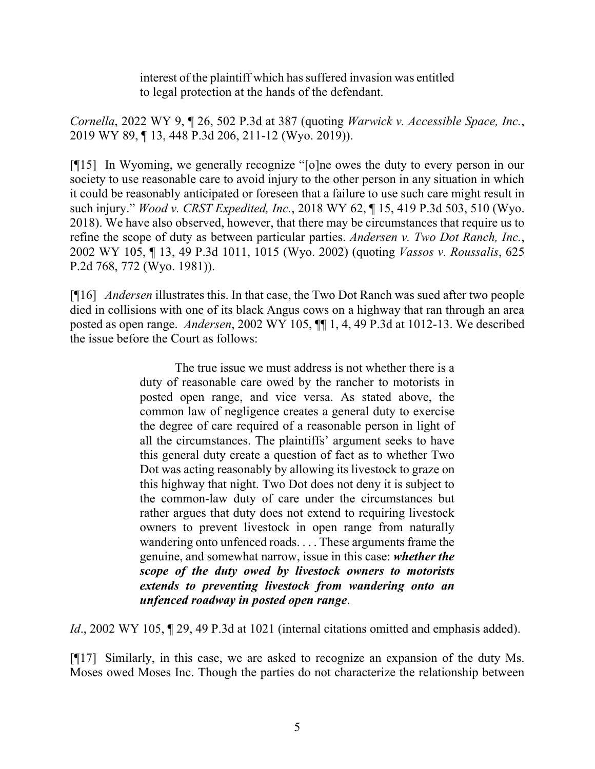interest of the plaintiff which has suffered invasion was entitled to legal protection at the hands of the defendant.

*Cornella*, 2022 WY 9, ¶ 26, 502 P.3d at 387 (quoting *[Warwick v. Accessible Space, Inc.](http://www.westlaw.com/Link/Document/FullText?findType=Y&serNum=2049085420&pubNum=0004645&originatingDoc=I3ce233b078af11ecbb228c74625c8c89&refType=RP&fi=co_pp_sp_4645_211&originationContext=document&vr=3.0&rs=cblt1.0&transitionType=DocumentItem&contextData=(sc.Search)#co_pp_sp_4645_211)*, [2019 WY 89, ¶ 13, 448 P.3d 206, 211-12 \(Wyo. 2019\)\)](http://www.westlaw.com/Link/Document/FullText?findType=Y&serNum=2049085420&pubNum=0004645&originatingDoc=I3ce233b078af11ecbb228c74625c8c89&refType=RP&fi=co_pp_sp_4645_211&originationContext=document&vr=3.0&rs=cblt1.0&transitionType=DocumentItem&contextData=(sc.Search)#co_pp_sp_4645_211).

[¶15] In Wyoming, we generally recognize "[o]ne owes the duty to every person in our society to use reasonable care to avoid injury to the other person in any situation in which it could be reasonably anticipated or foreseen that a failure to use such care might result in such injury." *Wood v. CRST Expedited, Inc.*, 2018 WY 62, ¶ 15, 419 P.3d 503, 510 (Wyo. 2018). We have also observed, however, that there may be circumstances that require us to refine the scope of duty as between particular parties. *Andersen v. Two Dot Ranch, Inc.*, 2002 WY 105, ¶ 13, 49 P.3d 1011, 1015 (Wyo. 2002) (quoting *[Vassos v. Roussalis](http://www.westlaw.com/Link/Document/FullText?findType=Y&serNum=1981113458&pubNum=0000661&originatingDoc=Ia4df5451f53d11d983e7e9deff98dc6f&refType=RP&fi=co_pp_sp_661_772&originationContext=document&vr=3.0&rs=cblt1.0&transitionType=DocumentItem&contextData=(sc.UserEnteredCitation)#co_pp_sp_661_772)*, 625 [P.2d 768, 772 \(Wyo. 1981\)\)](http://www.westlaw.com/Link/Document/FullText?findType=Y&serNum=1981113458&pubNum=0000661&originatingDoc=Ia4df5451f53d11d983e7e9deff98dc6f&refType=RP&fi=co_pp_sp_661_772&originationContext=document&vr=3.0&rs=cblt1.0&transitionType=DocumentItem&contextData=(sc.UserEnteredCitation)#co_pp_sp_661_772).

[¶16] *Andersen* illustrates this. In that case, the Two Dot Ranch was sued after two people died in collisions with one of its black Angus cows on a highway that ran through an area posted as open range. *Andersen*, 2002 WY 105, ¶¶ 1, 4, 49 P.3d at 1012-13. We described the issue before the Court as follows:

> The true issue we must address is not whether there is a duty of reasonable care owed by the rancher to motorists in posted open range, and vice versa. As stated above, the common law of negligence creates a general duty to exercise the degree of care required of a reasonable person in light of all the circumstances. The plaintiffs' argument seeks to have this general duty create a question of fact as to whether Two Dot was acting reasonably by allowing its livestock to graze on this highway that night. Two Dot does not deny it is subject to the common-law duty of care under the circumstances but rather argues that duty does not extend to requiring livestock owners to prevent livestock in open range from naturally wandering onto unfenced roads. . . . These arguments frame the genuine, and somewhat narrow, issue in this case: *whether the scope of the duty owed by livestock owners to motorists extends to preventing livestock from wandering onto an unfenced roadway in posted open range*.

*Id.*, 2002 WY 105, 129, 49 P.3d at 1021 (internal citations omitted and emphasis added).

[¶17] Similarly, in this case, we are asked to recognize an expansion of the duty Ms. Moses owed Moses Inc. Though the parties do not characterize the relationship between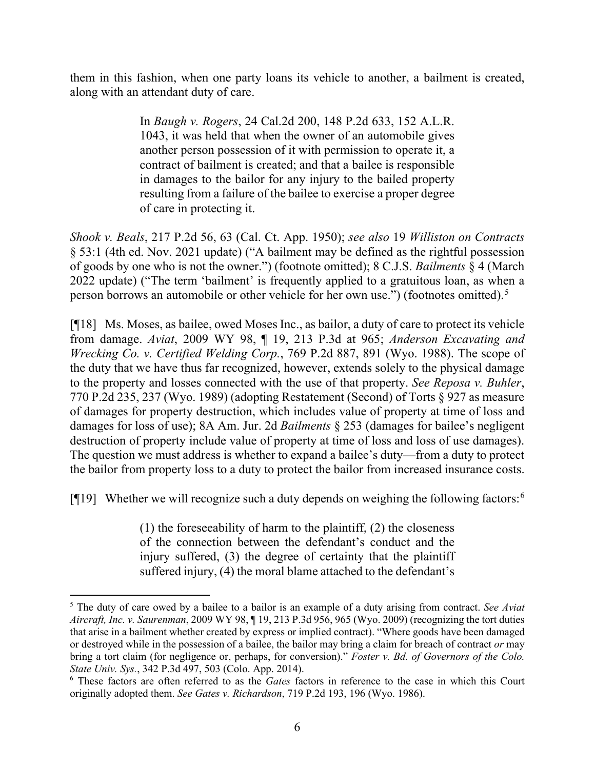them in this fashion, when one party loans its vehicle to another, a bailment is created, along with an attendant duty of care.

> In *[Baugh v. Rogers](http://www.westlaw.com/Link/Document/FullText?findType=Y&serNum=1944112751&pubNum=231&originatingDoc=I4258a326fada11d983e7e9deff98dc6f&refType=RP&originationContext=document&vr=3.0&rs=cblt1.0&transitionType=DocumentItem&contextData=(sc.Search))*, 24 Cal.2d 200, [148 P.2d 633,](http://www.westlaw.com/Link/Document/FullText?findType=Y&serNum=1944113189&pubNum=661&originatingDoc=I4258a326fada11d983e7e9deff98dc6f&refType=RP&originationContext=document&vr=3.0&rs=cblt1.0&transitionType=DocumentItem&contextData=(sc.Search)) [152 A.L.R.](http://www.westlaw.com/Link/Document/FullText?findType=Y&pubNum=473&cite=152LRA1043&originatingDoc=I4258a326fada11d983e7e9deff98dc6f&refType=RP&originationContext=document&vr=3.0&rs=cblt1.0&transitionType=DocumentItem&contextData=(sc.Search)) [1043,](http://www.westlaw.com/Link/Document/FullText?findType=Y&pubNum=473&cite=152LRA1043&originatingDoc=I4258a326fada11d983e7e9deff98dc6f&refType=RP&originationContext=document&vr=3.0&rs=cblt1.0&transitionType=DocumentItem&contextData=(sc.Search)) it was held that when the owner of an automobile gives another person possession of it with permission to operate it, a contract of bailment is created; and that a bailee is responsible in damages to the bailor for any injury to the bailed property resulting from a failure of the bailee to exercise a proper degree of care in protecting it.

*Shook v. Beals*, 217 P.2d 56, 63 (Cal. Ct. App. 1950); *see also* 19 *Williston on Contracts* § 53:1 (4th ed. Nov. 2021 update) ("A bailment may be defined as the rightful possession of goods by one who is not the owner.") (footnote omitted); 8 C.J.S. *Bailments* § 4 (March 2022 update) ("The term 'bailment' is frequently applied to a gratuitous loan, as when a person borrows an automobile or other vehicle for her own use.") (footnotes omitted).[5](#page-6-0)

[¶18] Ms. Moses, as bailee, owed Moses Inc., as bailor, a duty of care to protect its vehicle from damage. *Aviat*, 2009 WY 98, ¶ 19, 213 P.3d at 965; *Anderson Excavating and Wrecking Co. v. Certified Welding Corp.*, 769 P.2d 887, 891 (Wyo. 1988). The scope of the duty that we have thus far recognized, however, extends solely to the physical damage to the property and losses connected with the use of that property. *See Reposa v. Buhler*, 770 P.2d 235, 237 (Wyo. 1989) (adopting Restatement (Second) of Torts § 927 as measure of damages for property destruction, which includes value of property at time of loss and damages for loss of use); 8A Am. Jur. 2d *Bailments* § 253 (damages for bailee's negligent destruction of property include value of property at time of loss and loss of use damages). The question we must address is whether to expand a bailee's duty—from a duty to protect the bailor from property loss to a duty to protect the bailor from increased insurance costs.

[¶19] Whether we will recognize such a duty depends on weighing the following factors:<sup>[6](#page-6-1)</sup>

(1) the foreseeability of harm to the plaintiff, (2) the closeness of the connection between the defendant's conduct and the injury suffered, (3) the degree of certainty that the plaintiff suffered injury, (4) the moral blame attached to the defendant's

<span id="page-6-0"></span><sup>5</sup> The duty of care owed by a bailee to a bailor is an example of a duty arising from contract. *See Aviat Aircraft, Inc. v. Saurenman*, 2009 WY 98, ¶ 19, 213 P.3d 956, 965 (Wyo. 2009) (recognizing the tort duties that arise in a bailment whether created by express or implied contract). "Where goods have been damaged or destroyed while in the possession of a bailee, the bailor may bring a claim for breach of contract *or* may bring a tort claim (for negligence or, perhaps, for conversion)." *Foster v. Bd. of Governors of the Colo. State Univ. Sys.*, 342 P.3d 497, 503 (Colo. App. 2014).

<span id="page-6-1"></span><sup>6</sup> These factors are often referred to as the *Gates* factors in reference to the case in which this Court originally adopted them. *See Gates v. Richardson*, 719 P.2d 193, 196 (Wyo. 1986).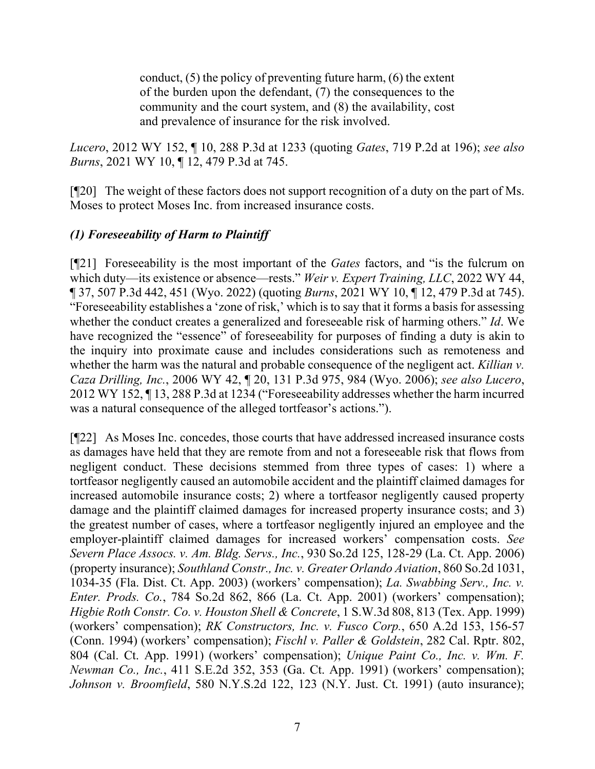conduct, (5) the policy of preventing future harm, (6) the extent of the burden upon the defendant, (7) the consequences to the community and the court system, and (8) the availability, cost and prevalence of insurance for the risk involved.

*Lucero*, 2012 WY 152, ¶ 10, 288 P.3d at 1233 (quoting *Gates*, 719 P.2d at 196); *see also Burns*, 2021 WY 10, ¶ 12, 479 P.3d at 745.

[¶20] The weight of these factors does not support recognition of a duty on the part of Ms. Moses to protect Moses Inc. from increased insurance costs.

# *(1) Foreseeability of Harm to Plaintiff*

[¶21] Foreseeability is the most important of the *Gates* factors, and "is the fulcrum on which duty—its existence or absence—rests." *Weir v. Expert Training, LLC*, 2022 WY 44, ¶ 37, 507 P.3d 442, 451 (Wyo. 2022) (quoting *Burns*, 2021 WY 10, ¶ 12, 479 P.3d at 745). "Foreseeability establishes a 'zone of risk,' which is to say that it forms a basis for assessing whether the conduct creates a generalized and foreseeable risk of harming others." *Id*. We have recognized the "essence" of foreseeability for purposes of finding a duty is akin to the inquiry into proximate cause and includes considerations such as remoteness and whether the harm was the natural and probable consequence of the negligent act. *Killian v. Caza Drilling, Inc.*, 2006 WY 42, ¶ 20, 131 P.3d 975, 984 (Wyo. 2006); *see also Lucero*, 2012 WY 152, ¶ 13, 288 P.3d at 1234 ("Foreseeability addresses whether the harm incurred was a natural consequence of the alleged tortfeasor's actions.").

[¶22] As Moses Inc. concedes, those courts that have addressed increased insurance costs as damages have held that they are remote from and not a foreseeable risk that flows from negligent conduct. These decisions stemmed from three types of cases: 1) where a tortfeasor negligently caused an automobile accident and the plaintiff claimed damages for increased automobile insurance costs; 2) where a tortfeasor negligently caused property damage and the plaintiff claimed damages for increased property insurance costs; and 3) the greatest number of cases, where a tortfeasor negligently injured an employee and the employer-plaintiff claimed damages for increased workers' compensation costs. *See Severn Place Assocs. v. Am. Bldg. Servs., Inc.*, 930 So.2d 125, 128-29 (La. Ct. App. 2006) (property insurance); *Southland Constr., Inc. v. Greater Orlando Aviation*, 860 So.2d 1031, 1034-35 (Fla. Dist. Ct. App. 2003) (workers' compensation); *La. Swabbing Serv., Inc. v. Enter. Prods. Co.*, 784 So.2d 862, 866 (La. Ct. App. 2001) (workers' compensation); *Higbie Roth Constr. Co. v. Houston Shell & Concrete*, 1 S.W.3d 808, 813 (Tex. App. 1999) (workers' compensation); *RK Constructors, Inc. v. Fusco Corp.*, 650 A.2d 153, 156-57 (Conn. 1994) (workers' compensation); *Fischl v. Paller & Goldstein*, 282 Cal. Rptr. 802, 804 (Cal. Ct. App. 1991) (workers' compensation); *Unique Paint Co., Inc. v. Wm. F. Newman Co., Inc.*, 411 S.E.2d 352, 353 (Ga. Ct. App. 1991) (workers' compensation); *Johnson v. Broomfield*, 580 N.Y.S.2d 122, 123 (N.Y. Just. Ct. 1991) (auto insurance);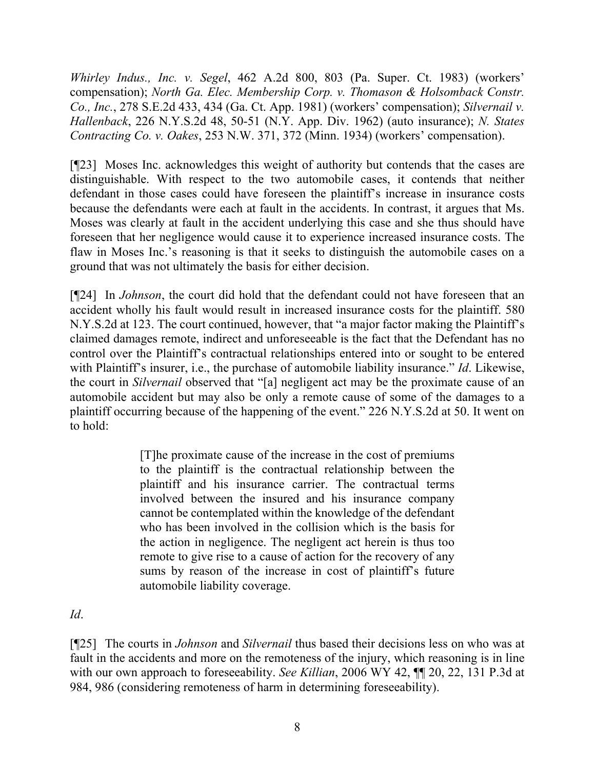*Whirley Indus., Inc. v. Segel*, 462 A.2d 800, 803 (Pa. Super. Ct. 1983) (workers' compensation); *North Ga. Elec. Membership Corp. v. Thomason & Holsomback Constr. Co., Inc.*, 278 S.E.2d 433, 434 (Ga. Ct. App. 1981) (workers' compensation); *Silvernail v. Hallenback*, 226 N.Y.S.2d 48, 50-51 (N.Y. App. Div. 1962) (auto insurance); *N. States Contracting Co. v. Oakes*, 253 N.W. 371, 372 (Minn. 1934) (workers' compensation).

[¶23] Moses Inc. acknowledges this weight of authority but contends that the cases are distinguishable. With respect to the two automobile cases, it contends that neither defendant in those cases could have foreseen the plaintiff's increase in insurance costs because the defendants were each at fault in the accidents. In contrast, it argues that Ms. Moses was clearly at fault in the accident underlying this case and she thus should have foreseen that her negligence would cause it to experience increased insurance costs. The flaw in Moses Inc.'s reasoning is that it seeks to distinguish the automobile cases on a ground that was not ultimately the basis for either decision.

[¶24] In *Johnson*, the court did hold that the defendant could not have foreseen that an accident wholly his fault would result in increased insurance costs for the plaintiff. 580 N.Y.S.2d at 123. The court continued, however, that "a major factor making the Plaintiff's claimed damages remote, indirect and unforeseeable is the fact that the Defendant has no control over the Plaintiff's contractual relationships entered into or sought to be entered with Plaintiff's insurer, i.e., the purchase of automobile liability insurance." *Id*. Likewise, the court in *Silvernail* observed that "[a] negligent act may be the proximate cause of an automobile accident but may also be only a remote cause of some of the damages to a plaintiff occurring because of the happening of the event." 226 N.Y.S.2d at 50. It went on to hold:

> [T]he proximate cause of the increase in the cost of premiums to the plaintiff is the contractual relationship between the plaintiff and his insurance carrier. The contractual terms involved between the insured and his insurance company cannot be contemplated within the knowledge of the defendant who has been involved in the collision which is the basis for the action in negligence. The negligent act herein is thus too remote to give rise to a cause of action for the recovery of any sums by reason of the increase in cost of plaintiff's future automobile liability coverage.

*Id*.

[¶25] The courts in *Johnson* and *Silvernail* thus based their decisions less on who was at fault in the accidents and more on the remoteness of the injury, which reasoning is in line with our own approach to foreseeability. *See Killian*, 2006 WY 42, ¶¶ 20, 22, 131 P.3d at 984, 986 (considering remoteness of harm in determining foreseeability).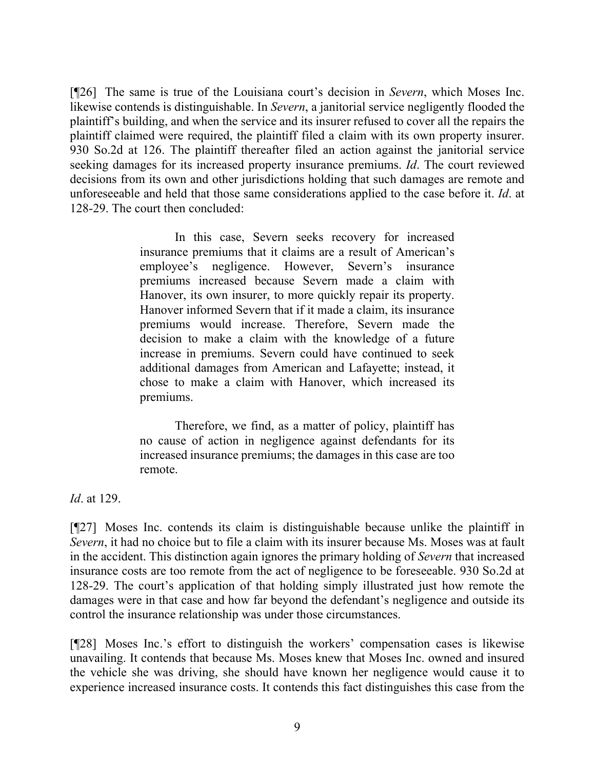[¶26] The same is true of the Louisiana court's decision in *Severn*, which Moses Inc. likewise contends is distinguishable. In *Severn*, a janitorial service negligently flooded the plaintiff's building, and when the service and its insurer refused to cover all the repairs the plaintiff claimed were required, the plaintiff filed a claim with its own property insurer. 930 So.2d at 126. The plaintiff thereafter filed an action against the janitorial service seeking damages for its increased property insurance premiums. *Id*. The court reviewed decisions from its own and other jurisdictions holding that such damages are remote and unforeseeable and held that those same considerations applied to the case before it. *Id*. at 128-29. The court then concluded:

> In this case, Severn seeks recovery for increased insurance premiums that it claims are a result of American's employee's negligence. However, Severn's insurance premiums increased because Severn made a claim with Hanover, its own insurer, to more quickly repair its property. Hanover informed Severn that if it made a claim, its insurance premiums would increase. Therefore, Severn made the decision to make a claim with the knowledge of a future increase in premiums. Severn could have continued to seek additional damages from American and Lafayette; instead, it chose to make a claim with Hanover, which increased its premiums.

> Therefore, we find, as a matter of policy, plaintiff has no cause of action in negligence against defendants for its increased insurance premiums; the damages in this case are too remote.

*Id*. at 129.

[¶27] Moses Inc. contends its claim is distinguishable because unlike the plaintiff in *Severn*, it had no choice but to file a claim with its insurer because Ms. Moses was at fault in the accident. This distinction again ignores the primary holding of *Severn* that increased insurance costs are too remote from the act of negligence to be foreseeable. 930 So.2d at 128-29. The court's application of that holding simply illustrated just how remote the damages were in that case and how far beyond the defendant's negligence and outside its control the insurance relationship was under those circumstances.

[¶28] Moses Inc.'s effort to distinguish the workers' compensation cases is likewise unavailing. It contends that because Ms. Moses knew that Moses Inc. owned and insured the vehicle she was driving, she should have known her negligence would cause it to experience increased insurance costs. It contends this fact distinguishes this case from the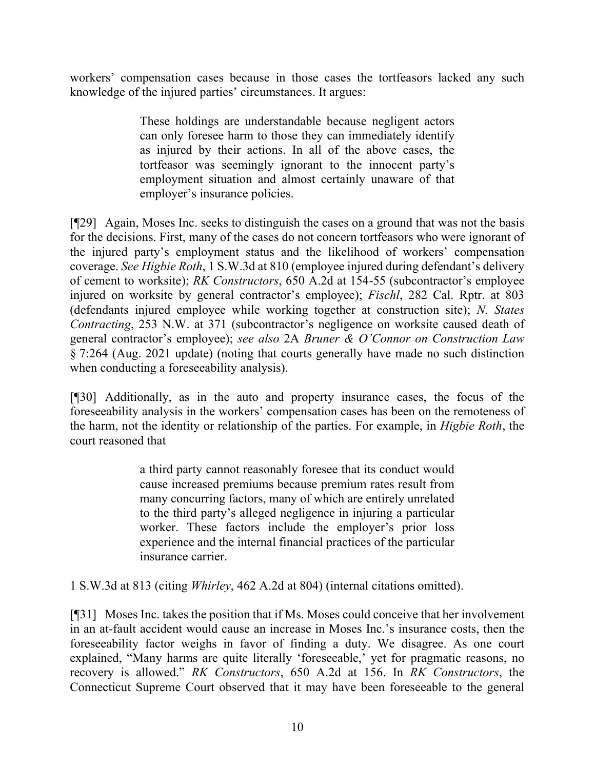workers' compensation cases because in those cases the tortfeasors lacked any such knowledge of the injured parties' circumstances. It argues:

> These holdings are understandable because negligent actors can only foresee harm to those they can immediately identify as injured by their actions. In all of the above cases, the tortfeasor was seemingly ignorant to the innocent party's employment situation and almost certainly unaware of that employer's insurance policies.

[¶29] Again, Moses Inc. seeks to distinguish the cases on a ground that was not the basis for the decisions. First, many of the cases do not concern tortfeasors who were ignorant of the injured party's employment status and the likelihood of workers' compensation coverage. *See Higbie Roth*, 1 S.W.3d at 810 (employee injured during defendant's delivery of cement to worksite); *RK Constructors*, 650 A.2d at 154-55 (subcontractor's employee injured on worksite by general contractor's employee); *Fischl*, 282 Cal. Rptr. at 803 (defendants injured employee while working together at construction site); *N. States Contracting*, 253 N.W. at 371 (subcontractor's negligence on worksite caused death of general contractor's employee); *see also* 2A *Bruner & O'Connor on Construction Law* § 7:264 (Aug. 2021 update) (noting that courts generally have made no such distinction when conducting a foreseeability analysis).

[¶30] Additionally, as in the auto and property insurance cases, the focus of the foreseeability analysis in the workers' compensation cases has been on the remoteness of the harm, not the identity or relationship of the parties. For example, in *Higbie Roth*, the court reasoned that

> a third party cannot reasonably foresee that its conduct would cause increased premiums because premium rates result from many concurring factors, many of which are entirely unrelated to the third party's alleged negligence in injuring a particular worker. These factors include the employer's prior loss experience and the internal financial practices of the particular insurance carrier.

1 S.W.3d at 813 (citing *Whirley*, 462 A.2d at 804) (internal citations omitted).

[¶31] Moses Inc. takes the position that if Ms. Moses could conceive that her involvement in an at-fault accident would cause an increase in Moses Inc.'s insurance costs, then the foreseeability factor weighs in favor of finding a duty. We disagree. As one court explained, "Many harms are quite literally 'foreseeable,' yet for pragmatic reasons, no recovery is allowed." *RK Constructors*, 650 A.2d at 156. In *RK Constructors*, the Connecticut Supreme Court observed that it may have been foreseeable to the general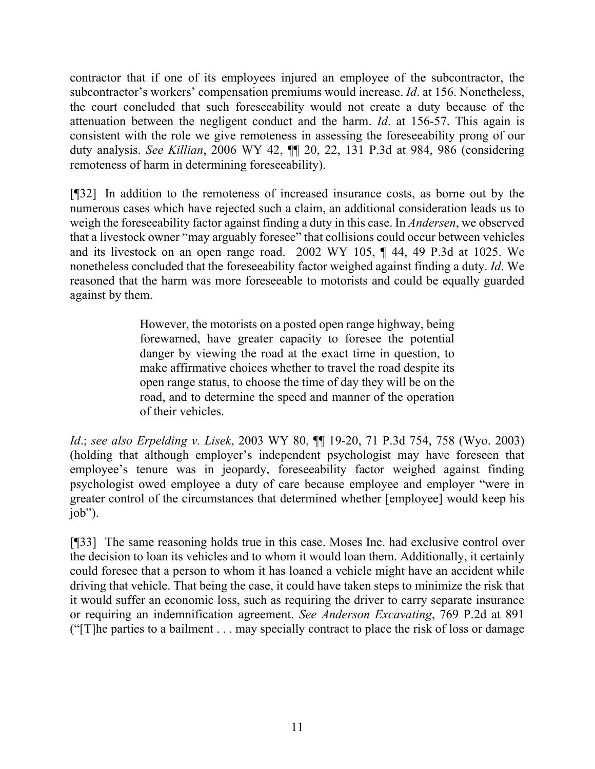contractor that if one of its employees injured an employee of the subcontractor, the subcontractor's workers' compensation premiums would increase. *Id*. at 156. Nonetheless, the court concluded that such foreseeability would not create a duty because of the attenuation between the negligent conduct and the harm. *Id*. at 156-57. This again is consistent with the role we give remoteness in assessing the foreseeability prong of our duty analysis. *See Killian*, 2006 WY 42, ¶¶ 20, 22, 131 P.3d at 984, 986 (considering remoteness of harm in determining foreseeability).

[¶32] In addition to the remoteness of increased insurance costs, as borne out by the numerous cases which have rejected such a claim, an additional consideration leads us to weigh the foreseeability factor against finding a duty in this case. In *Andersen*, we observed that a livestock owner "may arguably foresee" that collisions could occur between vehicles and its livestock on an open range road. 2002 WY 105, ¶ 44, 49 P.3d at 1025. We nonetheless concluded that the foreseeability factor weighed against finding a duty. *Id*. We reasoned that the harm was more foreseeable to motorists and could be equally guarded against by them.

> However, the motorists on a posted open range highway, being forewarned, have greater capacity to foresee the potential danger by viewing the road at the exact time in question, to make affirmative choices whether to travel the road despite its open range status, to choose the time of day they will be on the road, and to determine the speed and manner of the operation of their vehicles.

*Id*.; *see also Erpelding v. Lisek*, 2003 WY 80, ¶¶ 19-20, 71 P.3d 754, 758 (Wyo. 2003) (holding that although employer's independent psychologist may have foreseen that employee's tenure was in jeopardy, foreseeability factor weighed against finding psychologist owed employee a duty of care because employee and employer "were in greater control of the circumstances that determined whether [employee] would keep his job").

[¶33] The same reasoning holds true in this case. Moses Inc. had exclusive control over the decision to loan its vehicles and to whom it would loan them. Additionally, it certainly could foresee that a person to whom it has loaned a vehicle might have an accident while driving that vehicle. That being the case, it could have taken steps to minimize the risk that it would suffer an economic loss, such as requiring the driver to carry separate insurance or requiring an indemnification agreement. *See Anderson Excavating*, 769 P.2d at 891 ("[T]he parties to a bailment . . . may specially contract to place the risk of loss or damage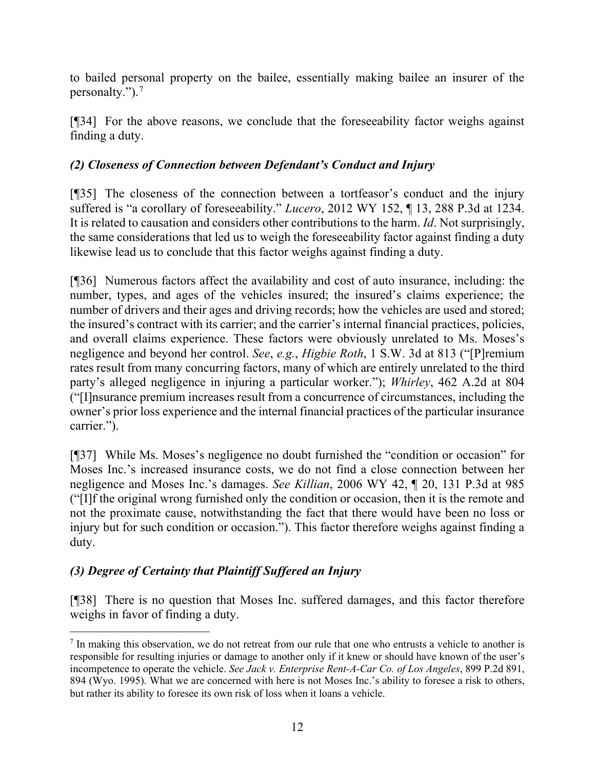to bailed personal property on the bailee, essentially making bailee an insurer of the personalty.").[7](#page-12-0)

[¶34] For the above reasons, we conclude that the foreseeability factor weighs against finding a duty.

# *(2) Closeness of Connection between Defendant's Conduct and Injury*

[¶35] The closeness of the connection between a tortfeasor's conduct and the injury suffered is "a corollary of foreseeability." *Lucero*, 2012 WY 152, ¶ 13, 288 P.3d at 1234. It is related to causation and considers other contributions to the harm. *Id*. Not surprisingly, the same considerations that led us to weigh the foreseeability factor against finding a duty likewise lead us to conclude that this factor weighs against finding a duty.

[¶36] Numerous factors affect the availability and cost of auto insurance, including: the number, types, and ages of the vehicles insured; the insured's claims experience; the number of drivers and their ages and driving records; how the vehicles are used and stored; the insured's contract with its carrier; and the carrier's internal financial practices, policies, and overall claims experience. These factors were obviously unrelated to Ms. Moses's negligence and beyond her control. *See*, *e.g.*, *Higbie Roth*, 1 S.W. 3d at 813 ("[P]remium rates result from many concurring factors, many of which are entirely unrelated to the third party's alleged negligence in injuring a particular worker."); *Whirley*, 462 A.2d at 804 ("[I]nsurance premium increases result from a concurrence of circumstances, including the owner's prior loss experience and the internal financial practices of the particular insurance carrier.").

[¶37] While Ms. Moses's negligence no doubt furnished the "condition or occasion" for Moses Inc.'s increased insurance costs, we do not find a close connection between her negligence and Moses Inc.'s damages. *See Killian*, 2006 WY 42, ¶ 20, 131 P.3d at 985 ("[I]f the original wrong furnished only the condition or occasion, then it is the remote and not the proximate cause, notwithstanding the fact that there would have been no loss or injury but for such condition or occasion."). This factor therefore weighs against finding a duty.

# *(3) Degree of Certainty that Plaintiff Suffered an Injury*

[¶38] There is no question that Moses Inc. suffered damages, and this factor therefore weighs in favor of finding a duty.

<span id="page-12-0"></span> $<sup>7</sup>$  In making this observation, we do not retreat from our rule that one who entrusts a vehicle to another is</sup> responsible for resulting injuries or damage to another only if it knew or should have known of the user's incompetence to operate the vehicle. *See Jack v. Enterprise Rent-A-Car Co. of Los Angeles*, 899 P.2d 891, 894 (Wyo. 1995). What we are concerned with here is not Moses Inc.'s ability to foresee a risk to others, but rather its ability to foresee its own risk of loss when it loans a vehicle.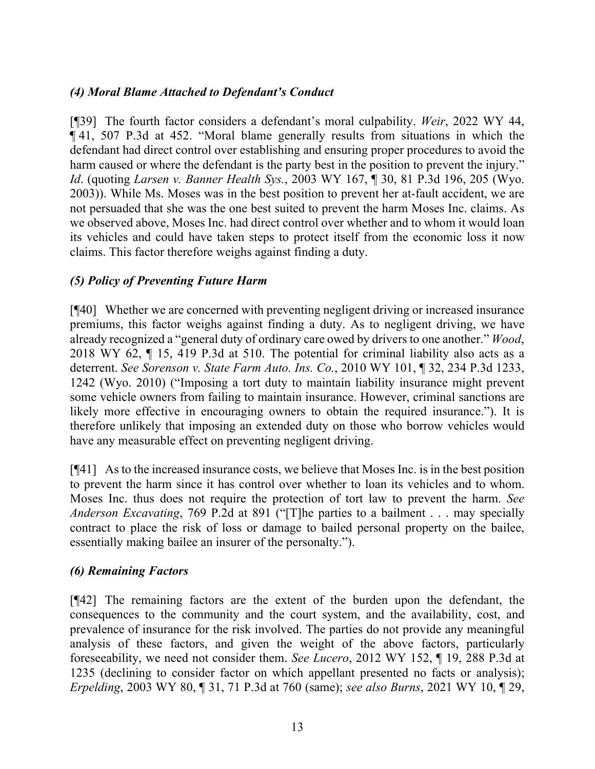# *(4) Moral Blame Attached to Defendant's Conduct*

[¶39] The fourth factor considers a defendant's moral culpability. *Weir*, 2022 WY 44, ¶ 41, 507 P.3d at 452. "Moral blame generally results from situations in which the defendant had direct control over establishing and ensuring proper procedures to avoid the harm caused or where the defendant is the party best in the position to prevent the injury." *Id*. (quoting *Larsen v. Banner Health Sys.*, 2003 WY 167, ¶ 30, 81 P.3d 196, 205 (Wyo. 2003)). While Ms. Moses was in the best position to prevent her at-fault accident, we are not persuaded that she was the one best suited to prevent the harm Moses Inc. claims. As we observed above, Moses Inc. had direct control over whether and to whom it would loan its vehicles and could have taken steps to protect itself from the economic loss it now claims. This factor therefore weighs against finding a duty.

## *(5) Policy of Preventing Future Harm*

[¶40] Whether we are concerned with preventing negligent driving or increased insurance premiums, this factor weighs against finding a duty. As to negligent driving, we have already recognized a "general duty of ordinary care owed by drivers to one another." *Wood*, 2018 WY 62, ¶ 15, 419 P.3d at 510. The potential for criminal liability also acts as a deterrent. *See Sorenson v. State Farm Auto. Ins. Co.*, 2010 WY 101, ¶ 32, 234 P.3d 1233, 1242 (Wyo. 2010) ("Imposing a tort duty to maintain liability insurance might prevent some vehicle owners from failing to maintain insurance. However, criminal sanctions are likely more effective in encouraging owners to obtain the required insurance."). It is therefore unlikely that imposing an extended duty on those who borrow vehicles would have any measurable effect on preventing negligent driving.

[¶41] As to the increased insurance costs, we believe that Moses Inc. is in the best position to prevent the harm since it has control over whether to loan its vehicles and to whom. Moses Inc. thus does not require the protection of tort law to prevent the harm. *See Anderson Excavating*, 769 P.2d at 891 ("[T]he parties to a bailment . . . may specially contract to place the risk of loss or damage to bailed personal property on the bailee, essentially making bailee an insurer of the personalty.").

## *(6) Remaining Factors*

[¶42] The remaining factors are the extent of the burden upon the defendant, the consequences to the community and the court system, and the availability, cost, and prevalence of insurance for the risk involved. The parties do not provide any meaningful analysis of these factors, and given the weight of the above factors, particularly foreseeability, we need not consider them. *See Lucero*, 2012 WY 152, ¶ 19, 288 P.3d at 1235 (declining to consider factor on which appellant presented no facts or analysis); *Erpelding*, 2003 WY 80, ¶ 31, 71 P.3d at 760 (same); *see also Burns*, 2021 WY 10, ¶ 29,